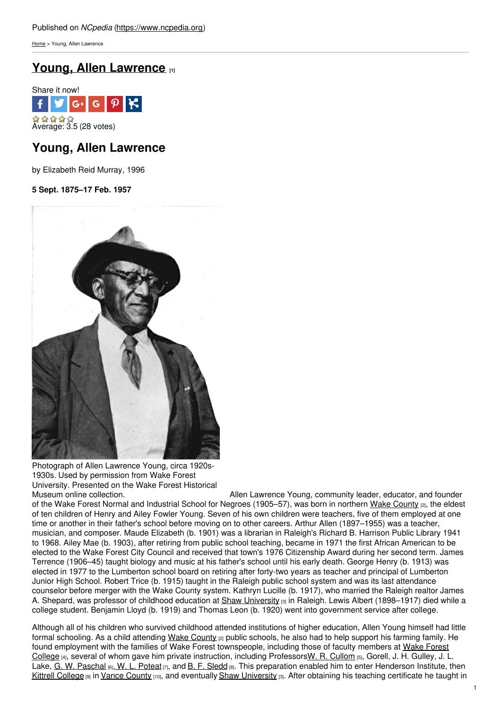[Home](https://www.ncpedia.org/) > Young, Allen Lawrence

# **Young, Allen [Lawrence](https://www.ncpedia.org/biography/young-allen-lawrence) [1]**



# **Young, Allen Lawrence**

by Elizabeth Reid Murray, 1996

### **5 Sept. 1875–17 Feb. 1957**



Photograph of Allen Lawrence Young, circa 1920s-1930s. Used by permission from Wake Forest University. Presented on the Wake Forest Historical

Allen Lawrence Young, community leader, educator, and founder of the Wake Forest Normal and Industrial School for Negroes (1905–57), was born in northern Wake [County](https://www.ncpedia.org/geography/wake) [2], the eldest of ten children of Henry and Ailey Fowler Young. Seven of his own children were teachers, five of them employed at one time or another in their father's school before moving on to other careers. Arthur Allen (1897–1955) was a teacher, musician, and composer. Maude Elizabeth (b. 1901) was a librarian in Raleigh's Richard B. Harrison Public Library 1941 to 1968. Ailey Mae (b. 1903), after retiring from public school teaching, became in 1971 the first African American to be elected to the Wake Forest City Council and received that town's 1976 Citizenship Award during her second term. James Terrence (1906–45) taught biology and music at his father's school until his early death. George Henry (b. 1913) was elected in 1977 to the Lumberton school board on retiring after forty-two years as teacher and principal of Lumberton Junior High School. Robert Trice (b. 1915) taught in the Raleigh public school system and was its last attendance counselor before merger with the Wake County system. Kathryn Lucille (b. 1917), who married the Raleigh realtor James A. Shepard, was professor of childhood education at Shaw [University](https://www.ncpedia.org/shaw-university)  $[3]$  in Raleigh. Lewis Albert (1898–1917) died while a college student. Benjamin Lloyd (b. 1919) and Thomas Leon (b. 1920) went into government service after college.

Although all of his children who survived childhood attended institutions of higher education, Allen Young himself had little formal schooling. As a child attending Wake [County](https://www.ncpedia.org/geography/wake)  $|z|$  public schools, he also had to help support his farming family. He found employment with the families of Wake Forest [townspeople,](https://www.ncpedia.org/wake-forest-university) including those of faculty members at Wake Forest College [4], several of whom gave him private instruction, including ProfessorsW. R. [Cullom](https://www.ncpedia.org/biography/cullom-willis-richard) [5], Gorell, J. H. Gulley, J. L. Lake, G. W. [Paschal](https://www.ncpedia.org/biography/paschal-george-washington)  $\left|6\right|$ , W. L. [Poteat](https://www.ncpedia.org/biography/poteat-william-louis)  $\left|7\right|$ , and B. F. [Sledd](https://www.ncpedia.org/biography/sledd-benjamin-franklin)  $\left|8\right|$ . This preparation enabled him to enter Henderson Institute, then Kittrell [College](https://www.ncpedia.org/kittrell-college) [9] in Vance [County](https://www.ncpedia.org/geography/vance) [10], and eventually Shaw [University](https://www.ncpedia.org/shaw-university) [3]. After obtaining his teaching certificate he taught in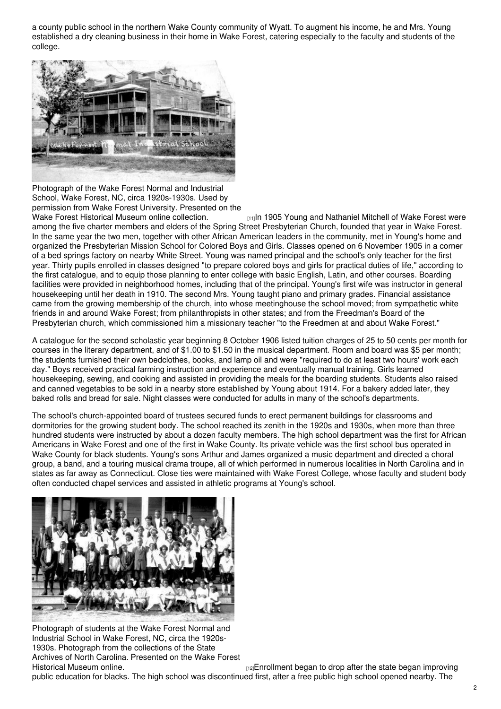a county public school in the northern Wake County community of Wyatt. To augment his income, he and Mrs. Young established a dry cleaning business in their home in Wake Forest, catering especially to the faculty and students of the college.



Photograph of the Wake Forest Normal and Industrial School, Wake Forest, NC, circa 1920s-1930s. Used by permission from Wake Forest University. Presented on the

Wake Forest Historical Museum online [collection.](http://wakeforestmuseum.org/2013/07/21/the-normal-and-industrial-school/) [11]In 1905 Young and Nathaniel Mitchell of Wake Forest were among the five charter members and elders of the Spring Street Presbyterian Church, founded that year in Wake Forest. In the same year the two men, together with other African American leaders in the community, met in Young's home and organized the Presbyterian Mission School for Colored Boys and Girls. Classes opened on 6 November 1905 in a corner of a bed springs factory on nearby White Street. Young was named principal and the school's only teacher for the first year. Thirty pupils enrolled in classes designed "to prepare colored boys and girls for practical duties of life," according to the first catalogue, and to equip those planning to enter college with basic English, Latin, and other courses. Boarding facilities were provided in neighborhood homes, including that of the principal. Young's first wife was instructor in general housekeeping until her death in 1910. The second Mrs. Young taught piano and primary grades. Financial assistance came from the growing membership of the church, into whose meetinghouse the school moved; from sympathetic white friends in and around Wake Forest; from philanthropists in other states; and from the Freedman's Board of the Presbyterian church, which commissioned him a missionary teacher "to the Freedmen at and about Wake Forest."

A catalogue for the second scholastic year beginning 8 October 1906 listed tuition charges of 25 to 50 cents per month for courses in the literary department, and of \$1.00 to \$1.50 in the musical department. Room and board was \$5 per month; the students furnished their own bedclothes, books, and lamp oil and were "required to do at least two hours' work each day." Boys received practical farming instruction and experience and eventually manual training. Girls learned housekeeping, sewing, and cooking and assisted in providing the meals for the boarding students. Students also raised and canned vegetables to be sold in a nearby store established by Young about 1914. For a bakery added later, they baked rolls and bread for sale. Night classes were conducted for adults in many of the school's departments.

The school's church-appointed board of trustees secured funds to erect permanent buildings for classrooms and dormitories for the growing student body. The school reached its zenith in the 1920s and 1930s, when more than three hundred students were instructed by about a dozen faculty members. The high school department was the first for African Americans in Wake Forest and one of the first in Wake County. Its private vehicle was the first school bus operated in Wake County for black students. Young's sons Arthur and James organized a music department and directed a choral group, a band, and a touring musical drama troupe, all of which performed in numerous localities in North Carolina and in states as far away as Connecticut. Close ties were maintained with Wake Forest College, whose faculty and student body often conducted chapel services and assisted in athletic programs at Young's school.



Photograph of students at the Wake Forest Normal and Industrial School in Wake Forest, NC, circa the 1920s-1930s. Photograph from the collections of the State Archives of North Carolina. Presented on the Wake Forest<br>Historical Museum online.

 $H<sub>[12]</sub>Enrollment began to drop after the state began improving$ 

public education for blacks. The high school was discontinued first, after a free public high school opened nearby. The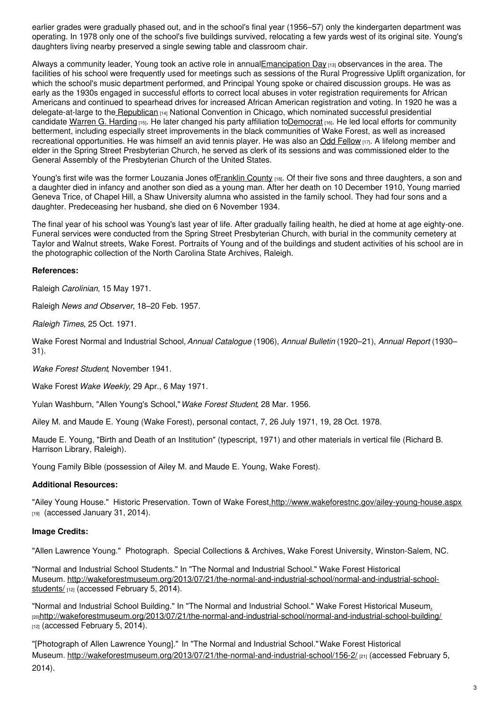earlier grades were gradually phased out, and in the school's final year (1956–57) only the kindergarten department was operating. In 1978 only one of the school's five buildings survived, relocating a few yards west of its original site. Young's daughters living nearby preserved a single sewing table and classroom chair.

Always a community leader, Young took an active role in annua[lEmancipation](https://www.ncpedia.org/emancipation-day) Day [13] observances in the area. The facilities of his school were frequently used for meetings such as sessions of the Rural Progressive Uplift organization, for which the school's music department performed, and Principal Young spoke or chaired discussion groups. He was as early as the 1930s engaged in successful efforts to correct local abuses in voter registration requirements for African Americans and continued to spearhead drives for increased African American registration and voting. In 1920 he was a delegate-at-large to the [Republican](https://www.ncpedia.org/republican-party) [14] National Convention in Chicago, which nominated successful presidential candidate Warren G. [Harding](https://www.whitehouse.gov/about/presidents/warrenharding) [15]. He later changed his party affiliation t[oDemocrat](https://www.ncpedia.org/democratic-party) [16]. He led local efforts for community betterment, including especially street improvements in the black communities of Wake Forest, as well as increased recreational opportunities. He was himself an avid tennis player. He was also an Odd [Fellow](https://www.ncpedia.org/odd-fellows-lodge) [17]. A lifelong member and elder in the Spring Street Presbyterian Church, he served as clerk of its sessions and was commissioned elder to the General Assembly of the Presbyterian Church of the United States.

Young's first wife was the former Louzania Jones of Franklin County [18]. Of their five sons and three daughters, a son and a daughter died in infancy and another son died as a young man. After her death on 10 December 1910, Young married Geneva Trice, of Chapel Hill, a Shaw University alumna who assisted in the family school. They had four sons and a daughter. Predeceasing her husband, she died on 6 November 1934.

The final year of his school was Young's last year of life. After gradually failing health, he died at home at age eighty-one. Funeral services were conducted from the Spring Street Presbyterian Church, with burial in the community cemetery at Taylor and Walnut streets, Wake Forest. Portraits of Young and of the buildings and student activities of his school are in the photographic collection of the North Carolina State Archives, Raleigh.

### **References:**

Raleigh *Carolinian*, 15 May 1971.

Raleigh *News and Observer*, 18–20 Feb. 1957.

*Raleigh Times*, 25 Oct. 1971.

Wake Forest Normal and Industrial School,*Annual Catalogue* (1906), *Annual Bulletin* (1920–21), *Annual Report* (1930– 31).

*Wake Forest Student*, November 1941.

Wake Forest *Wake Weekly*, 29 Apr., 6 May 1971.

Yulan Washburn, "Allen Young's School,"*Wake Forest Student*, 28 Mar. 1956.

Ailey M. and Maude E. Young (Wake Forest), personal contact, 7, 26 July 1971, 19, 28 Oct. 1978.

Maude E. Young, "Birth and Death of an Institution" (typescript, 1971) and other materials in vertical file (Richard B. Harrison Library, Raleigh).

Young Family Bible (possession of Ailey M. and Maude E. Young, Wake Forest).

### **Additional Resources:**

"Ailey Young House." Historic Preservation. Town of Wake Forest[.http://www.wakeforestnc.gov/ailey-young-house.aspx](http://www.wakeforestnc.gov/ailey-young-house.aspx) [19] (accessed January 31, 2014).

### **Image Credits:**

"Allen Lawrence Young." Photograph. Special Collections & Archives, Wake Forest University, Winston-Salem, NC.

"Normal and Industrial School Students." In "The Normal and Industrial School." Wake Forest Historical Museum. [http://wakeforestmuseum.org/2013/07/21/the-normal-and-industrial-school/normal-and-industrial-school](http://wakeforestmuseum.org/2013/07/21/the-normal-and-industrial-school/normal-and-industrial-school-students/)students/ [12] (accessed February 5, 2014).

"Normal and Industrial School Building." In "The Normal and Industrial School." Wake Forest Historical Museu[m.](http://wakeforestmuseum.org/2013/07/21/the-normal-and-industrial-school/normal-and-industrial-school-building/) [20][http://wakeforestmuseum.org/2013/07/21/the-normal-and-industrial-school/normal-and-industrial-school-building/](http://wakeforestmuseum.org/2013/07/21/the-normal-and-industrial-school/normal-and-industrial-school-students/) [12] (accessed February 5, 2014).

"[Photograph of Allen Lawrence Young]." In "The Normal and Industrial School."Wake Forest Historical Museum. <http://wakeforestmuseum.org/2013/07/21/the-normal-and-industrial-school/156-2/> [21] (accessed February 5, 2014).